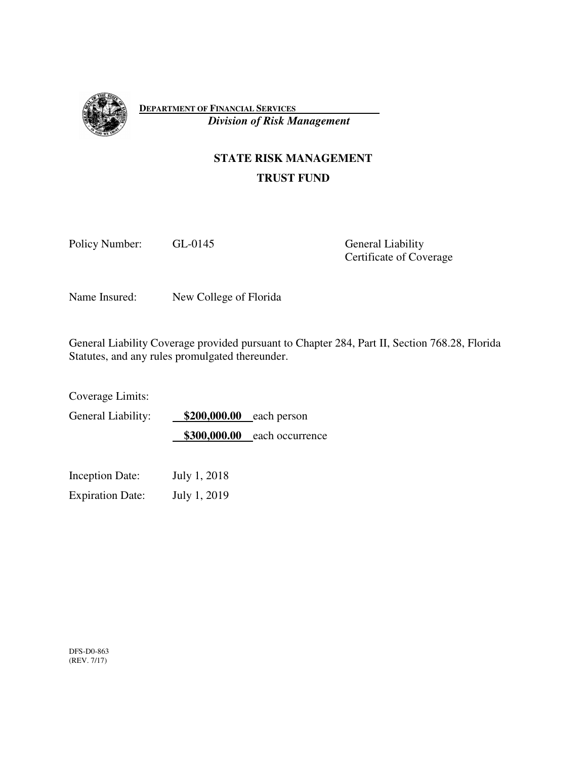

**DEPARTMENT OF FINANCIAL SERVICES**   *Division of Risk Management*

# **STATE RISK MANAGEMENT TRUST FUND**

Policy Number: GL-0145 General Liability

Certificate of Coverage

Name Insured: New College of Florida

General Liability Coverage provided pursuant to Chapter 284, Part II, Section 768.28, Florida Statutes, and any rules promulgated thereunder.

Coverage Limits:

General Liability: **\$200,000.00** each person **\$300,000.00** each occurrence

Inception Date: July 1, 2018

Expiration Date: July 1, 2019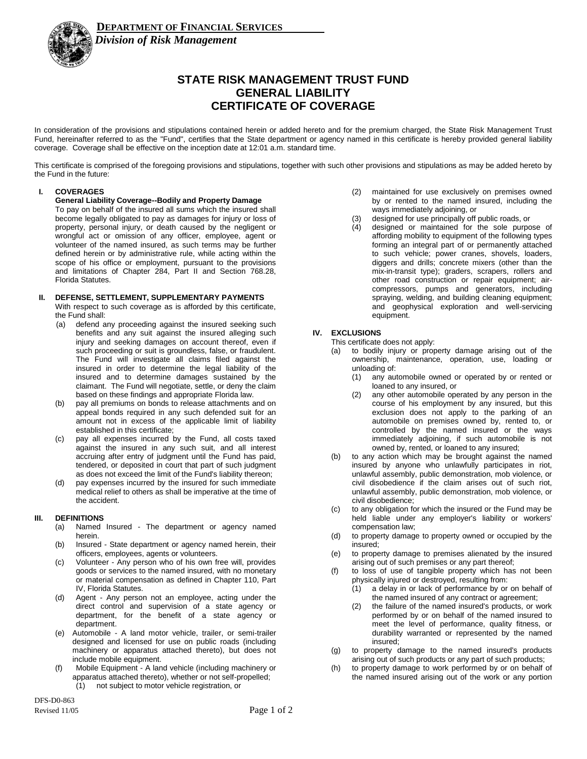

### *Division of Risk Management*

## **STATE RISK MANAGEMENT TRUST FUND GENERAL LIABILITY CERTIFICATE OF COVERAGE**

In consideration of the provisions and stipulations contained herein or added hereto and for the premium charged, the State Risk Management Trust Fund, hereinafter referred to as the "Fund", certifies that the State department or agency named in this certificate is hereby provided general liability coverage. Coverage shall be effective on the inception date at 12:01 a.m. standard time.

This certificate is comprised of the foregoing provisions and stipulations, together with such other provisions and stipulations as may be added hereto by the Fund in the future:

#### **I. COVERAGES**

**General Liability Coverage--Bodily and Property Damage**

To pay on behalf of the insured all sums which the insured shall become legally obligated to pay as damages for injury or loss of property, personal injury, or death caused by the negligent or wrongful act or omission of any officer, employee, agent or volunteer of the named insured, as such terms may be further defined herein or by administrative rule, while acting within the scope of his office or employment, pursuant to the provisions and limitations of Chapter 284, Part II and Section 768.28, Florida Statutes.

### **II. DEFENSE, SETTLEMENT, SUPPLEMENTARY PAYMENTS**

With respect to such coverage as is afforded by this certificate, the Fund shall:

- (a) defend any proceeding against the insured seeking such benefits and any suit against the insured alleging such injury and seeking damages on account thereof, even if such proceeding or suit is groundless, false, or fraudulent. The Fund will investigate all claims filed against the insured in order to determine the legal liability of the insured and to determine damages sustained by the claimant. The Fund will negotiate, settle, or deny the claim based on these findings and appropriate Florida law.
- (b) pay all premiums on bonds to release attachments and on appeal bonds required in any such defended suit for an amount not in excess of the applicable limit of liability established in this certificate;
- (c) pay all expenses incurred by the Fund, all costs taxed against the insured in any such suit, and all interest accruing after entry of judgment until the Fund has paid, tendered, or deposited in court that part of such judgment as does not exceed the limit of the Fund's liability thereon;
- (d) pay expenses incurred by the insured for such immediate medical relief to others as shall be imperative at the time of the accident.

### **III. DEFINITIONS**

- (a) Named Insured The department or agency named herein.
- (b) Insured State department or agency named herein, their officers, employees, agents or volunteers.
- (c) Volunteer Any person who of his own free will, provides goods or services to the named insured, with no monetary or material compensation as defined in Chapter 110, Part IV, Florida Statutes.
- (d) Agent Any person not an employee, acting under the direct control and supervision of a state agency or department, for the benefit of a state agency or department.
- (e) Automobile A land motor vehicle, trailer, or semi-trailer designed and licensed for use on public roads (including machinery or apparatus attached thereto), but does not include mobile equipment.
- (f) Mobile Equipment A land vehicle (including machinery or apparatus attached thereto), whether or not self-propelled; (1) not subject to motor vehicle registration, or
- (2) maintained for use exclusively on premises owned by or rented to the named insured, including the ways immediately adjoining, or
- (3) designed for use principally off public roads, or
- (4) designed or maintained for the sole purpose of affording mobility to equipment of the following types forming an integral part of or permanently attached to such vehicle; power cranes, shovels, loaders, diggers and drills; concrete mixers (other than the mix-in-transit type); graders, scrapers, rollers and other road construction or repair equipment; aircompressors, pumps and generators, including spraying, welding, and building cleaning equipment; and geophysical exploration and well-servicing equipment.

### **IV. EXCLUSIONS**

This certificate does not apply:

- to bodily injury or property damage arising out of the ownership, maintenance, operation, use, loading or unloading of:
	- (1) any automobile owned or operated by or rented or loaned to any insured, or
	- (2) any other automobile operated by any person in the course of his employment by any insured, but this exclusion does not apply to the parking of an automobile on premises owned by, rented to, or controlled by the named insured or the ways immediately adjoining, if such automobile is not owned by, rented, or loaned to any insured;
- (b) to any action which may be brought against the named insured by anyone who unlawfully participates in riot, unlawful assembly, public demonstration, mob violence, or civil disobedience if the claim arises out of such riot, unlawful assembly, public demonstration, mob violence, or civil disobedience;
- (c) to any obligation for which the insured or the Fund may be held liable under any employer's liability or workers' compensation law;
- (d) to property damage to property owned or occupied by the insured;
- (e) to property damage to premises alienated by the insured arising out of such premises or any part thereof;
- (f) to loss of use of tangible property which has not been physically injured or destroyed, resulting from:
	- (1) a delay in or lack of performance by or on behalf of the named insured of any contract or agreement;
	- (2) the failure of the named insured's products, or work performed by or on behalf of the named insured to meet the level of performance, quality fitness, or durability warranted or represented by the named insured;
- (g) to property damage to the named insured's products arising out of such products or any part of such products;
- (h) to property damage to work performed by or on behalf of the named insured arising out of the work or any portion